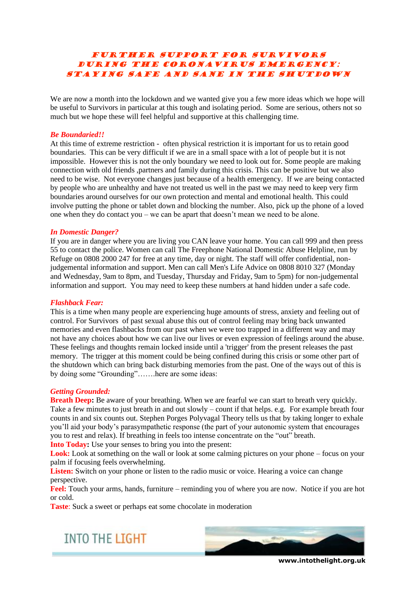# FURTHER SUPPORT FOR SURVIVORS DURING THE CORONAVIRUS EMERGENCY: STAYING SAFE AND SANE IN THE SHUTDOWN

We are now a month into the lockdown and we wanted give you a few more ideas which we hope will be useful to Survivors in particular at this tough and isolating period. Some are serious, others not so much but we hope these will feel helpful and supportive at this challenging time.

# *Be Boundaried!!*

At this time of extreme restriction - often physical restriction it is important for us to retain good boundaries. This can be very difficult if we are in a small space with a lot of people but it is not impossible. However this is not the only boundary we need to look out for. Some people are making connection with old friends ,partners and family during this crisis. This can be positive but we also need to be wise. Not everyone changes just because of a health emergency. If we are being contacted by people who are unhealthy and have not treated us well in the past we may need to keep very firm boundaries around ourselves for our own protection and mental and emotional health. This could involve putting the phone or tablet down and blocking the number. Also, pick up the phone of a loved one when they do contact you – we can be apart that doesn't mean we need to be alone.

# *In Domestic Danger?*

If you are in danger where you are living you CAN leave your home. You can call 999 and then press 55 to contact the police. Women can call [The Freephone National Domestic Abuse Helpline, run by](https://www.nationaldahelpline.org.uk/)  [Refuge](https://www.nationaldahelpline.org.uk/) on [0808 2000 247](tel:%200808%202000%20247) for free at any time, day or night. The staff will offer confidential, nonjudgemental information and support. Men can call [Men's Life Advice](http://www.mensadviceline.org.uk/) on [0808 8010 327](tel:%200808%20801%200327) (Monday and Wednesday, 9am to 8pm, and Tuesday, Thursday and Friday, 9am to 5pm) for non-judgemental information and support. You may need to keep these numbers at hand hidden under a safe code.

# *Flashback Fear:*

This is a time when many people are experiencing huge amounts of stress, anxiety and feeling out of control. For Survivors of past sexual abuse this out of control feeling may bring back unwanted memories and even flashbacks from our past when we were too trapped in a different way and may not have any choices about how we can live our lives or even expression of feelings around the abuse. These feelings and thoughts remain locked inside until a 'trigger' from the present releases the past memory. The trigger at this moment could be being confined during this crisis or some other part of the shutdown which can bring back disturbing memories from the past. One of the ways out of this is by doing some "Grounding"…….here are some ideas:

# *Getting Grounded:*

**Breath Deep:** Be aware of your breathing. When we are fearful we can start to breath very quickly. Take a few minutes to just breath in and out slowly – count if that helps. e.g. For example breath four counts in and six counts out. Stephen Porges Polyvagal Theory tells us that by taking longer to exhale you'll aid your body's parasympathetic response (the part of your autonomic system that encourages you to rest and relax). If breathing in feels too intense concentrate on the "out" breath.

**Into Today:** Use your senses to bring you into the present:

Look: Look at something on the wall or look at some calming pictures on your phone – focus on your palm if focusing feels overwhelming.

**Listen:** Switch on your phone or listen to the radio music or voice. Hearing a voice can change perspective.

**Feel:** Touch your arms, hands, furniture – reminding you of where you are now. Notice if you are hot or cold.

**Taste**: Suck a sweet or perhaps eat some chocolate in moderation

**INTO THE LIGHT** 



**www.intothelight.org.uk**